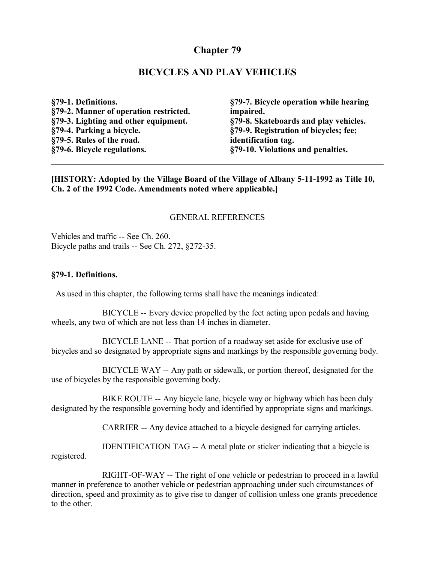# **Chapter 79**

#### **BICYCLES AND PLAY VEHICLES**

**§79-1. Definitions. §79-2. Manner of operation restricted. §79-3. Lighting and other equipment. §79-4. Parking a bicycle. §79-5. Rules of the road. §79-6. Bicycle regulations.**

**§79-7. Bicycle operation while hearing impaired. §79-8. Skateboards and play vehicles. §79-9. Registration of bicycles; fee; identification tag. §79-10. Violations and penalties.**

**[HISTORY: Adopted by the Village Board of the Village of Albany 5-11-1992 as Title 10, Ch. 2 of the 1992 Code. Amendments noted where applicable.]**

#### GENERAL REFERENCES

Vehicles and traffic -- See Ch. 260. Bicycle paths and trails -- See Ch. 272, §272-35.

#### **§79-1. Definitions.**

As used in this chapter, the following terms shall have the meanings indicated:

BICYCLE -- Every device propelled by the feet acting upon pedals and having wheels, any two of which are not less than 14 inches in diameter.

BICYCLE LANE -- That portion of a roadway set aside for exclusive use of bicycles and so designated by appropriate signs and markings by the responsible governing body.

BICYCLE WAY -- Any path or sidewalk, or portion thereof, designated for the use of bicycles by the responsible governing body.

BIKE ROUTE -- Any bicycle lane, bicycle way or highway which has been duly designated by the responsible governing body and identified by appropriate signs and markings.

CARRIER -- Any device attached to a bicycle designed for carrying articles.

IDENTIFICATION TAG -- A metal plate or sticker indicating that a bicycle is registered.

RIGHT-OF-WAY -- The right of one vehicle or pedestrian to proceed in a lawful manner in preference to another vehicle or pedestrian approaching under such circumstances of direction, speed and proximity as to give rise to danger of collision unless one grants precedence to the other.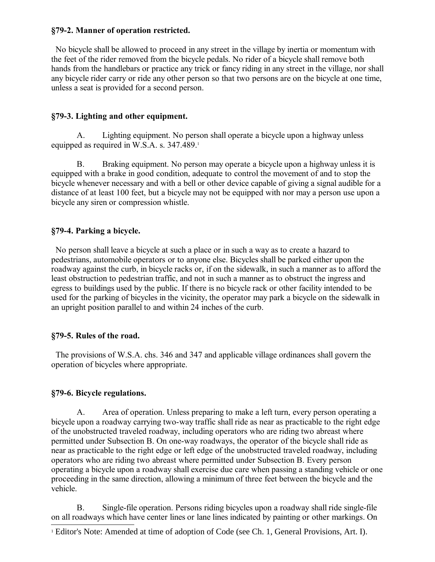#### **§79-2. Manner of operation restricted.**

 No bicycle shall be allowed to proceed in any street in the village by inertia or momentum with the feet of the rider removed from the bicycle pedals. No rider of a bicycle shall remove both hands from the handlebars or practice any trick or fancy riding in any street in the village, nor shall any bicycle rider carry or ride any other person so that two persons are on the bicycle at one time, unless a seat is provided for a second person.

## **§79-3. Lighting and other equipment.**

A. Lighting equipment. No person shall operate a bicycle upon a highway unless equipped as required in W.S.A. s. 347.489.<sup>[1](#page-1-0)</sup>

B. Braking equipment. No person may operate a bicycle upon a highway unless it is equipped with a brake in good condition, adequate to control the movement of and to stop the bicycle whenever necessary and with a bell or other device capable of giving a signal audible for a distance of at least 100 feet, but a bicycle may not be equipped with nor may a person use upon a bicycle any siren or compression whistle.

## **§79-4. Parking a bicycle.**

 No person shall leave a bicycle at such a place or in such a way as to create a hazard to pedestrians, automobile operators or to anyone else. Bicycles shall be parked either upon the roadway against the curb, in bicycle racks or, if on the sidewalk, in such a manner as to afford the least obstruction to pedestrian traffic, and not in such a manner as to obstruct the ingress and egress to buildings used by the public. If there is no bicycle rack or other facility intended to be used for the parking of bicycles in the vicinity, the operator may park a bicycle on the sidewalk in an upright position parallel to and within 24 inches of the curb.

## **§79-5. Rules of the road.**

 The provisions of W.S.A. chs. 346 and 347 and applicable village ordinances shall govern the operation of bicycles where appropriate.

## **§79-6. Bicycle regulations.**

A. Area of operation. Unless preparing to make a left turn, every person operating a bicycle upon a roadway carrying two-way traffic shall ride as near as practicable to the right edge of the unobstructed traveled roadway, including operators who are riding two abreast where permitted under Subsection B. On one-way roadways, the operator of the bicycle shall ride as near as practicable to the right edge or left edge of the unobstructed traveled roadway, including operators who are riding two abreast where permitted under Subsection B. Every person operating a bicycle upon a roadway shall exercise due care when passing a standing vehicle or one proceeding in the same direction, allowing a minimum of three feet between the bicycle and the vehicle.

B. Single-file operation. Persons riding bicycles upon a roadway shall ride single-file on all roadways which have center lines or lane lines indicated by painting or other markings. On

<span id="page-1-0"></span><sup>&</sup>lt;sup>1</sup> Editor's Note: Amended at time of adoption of Code (see Ch. 1, General Provisions, Art. I).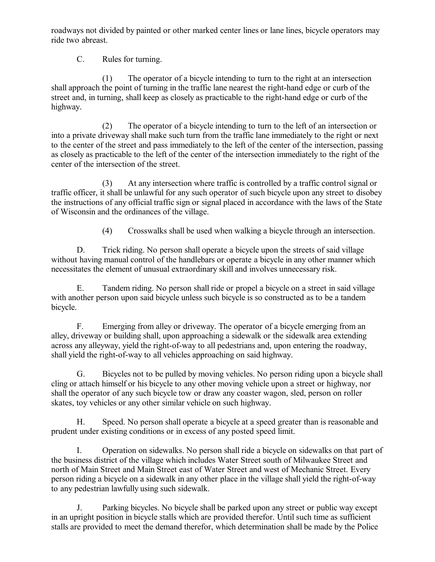roadways not divided by painted or other marked center lines or lane lines, bicycle operators may ride two abreast.

C. Rules for turning.

(1) The operator of a bicycle intending to turn to the right at an intersection shall approach the point of turning in the traffic lane nearest the right-hand edge or curb of the street and, in turning, shall keep as closely as practicable to the right-hand edge or curb of the highway.

(2) The operator of a bicycle intending to turn to the left of an intersection or into a private driveway shall make such turn from the traffic lane immediately to the right or next to the center of the street and pass immediately to the left of the center of the intersection, passing as closely as practicable to the left of the center of the intersection immediately to the right of the center of the intersection of the street.

(3) At any intersection where traffic is controlled by a traffic control signal or traffic officer, it shall be unlawful for any such operator of such bicycle upon any street to disobey the instructions of any official traffic sign or signal placed in accordance with the laws of the State of Wisconsin and the ordinances of the village.

(4) Crosswalks shall be used when walking a bicycle through an intersection.

D. Trick riding. No person shall operate a bicycle upon the streets of said village without having manual control of the handlebars or operate a bicycle in any other manner which necessitates the element of unusual extraordinary skill and involves unnecessary risk.

E. Tandem riding. No person shall ride or propel a bicycle on a street in said village with another person upon said bicycle unless such bicycle is so constructed as to be a tandem bicycle.

F. Emerging from alley or driveway. The operator of a bicycle emerging from an alley, driveway or building shall, upon approaching a sidewalk or the sidewalk area extending across any alleyway, yield the right-of-way to all pedestrians and, upon entering the roadway, shall yield the right-of-way to all vehicles approaching on said highway.

G. Bicycles not to be pulled by moving vehicles. No person riding upon a bicycle shall cling or attach himself or his bicycle to any other moving vehicle upon a street or highway, nor shall the operator of any such bicycle tow or draw any coaster wagon, sled, person on roller skates, toy vehicles or any other similar vehicle on such highway.

H. Speed. No person shall operate a bicycle at a speed greater than is reasonable and prudent under existing conditions or in excess of any posted speed limit.

I. Operation on sidewalks. No person shall ride a bicycle on sidewalks on that part of the business district of the village which includes Water Street south of Milwaukee Street and north of Main Street and Main Street east of Water Street and west of Mechanic Street. Every person riding a bicycle on a sidewalk in any other place in the village shall yield the right-of-way to any pedestrian lawfully using such sidewalk.

J. Parking bicycles. No bicycle shall be parked upon any street or public way except in an upright position in bicycle stalls which are provided therefor. Until such time as sufficient stalls are provided to meet the demand therefor, which determination shall be made by the Police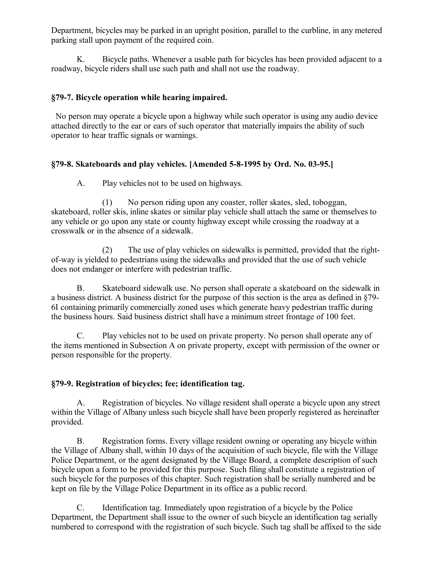Department, bicycles may be parked in an upright position, parallel to the curbline, in any metered parking stall upon payment of the required coin.

K. Bicycle paths. Whenever a usable path for bicycles has been provided adjacent to a roadway, bicycle riders shall use such path and shall not use the roadway.

# **§79-7. Bicycle operation while hearing impaired.**

 No person may operate a bicycle upon a highway while such operator is using any audio device attached directly to the ear or ears of such operator that materially impairs the ability of such operator to hear traffic signals or warnings.

# **§79-8. Skateboards and play vehicles. [Amended 5-8-1995 by Ord. No. 03-95.]**

A. Play vehicles not to be used on highways.

(1) No person riding upon any coaster, roller skates, sled, toboggan, skateboard, roller skis, inline skates or similar play vehicle shall attach the same or themselves to any vehicle or go upon any state or county highway except while crossing the roadway at a crosswalk or in the absence of a sidewalk.

(2) The use of play vehicles on sidewalks is permitted, provided that the rightof-way is yielded to pedestrians using the sidewalks and provided that the use of such vehicle does not endanger or interfere with pedestrian traffic.

B. Skateboard sidewalk use. No person shall operate a skateboard on the sidewalk in a business district. A business district for the purpose of this section is the area as defined in §79- 6I containing primarily commercially zoned uses which generate heavy pedestrian traffic during the business hours. Said business district shall have a minimum street frontage of 100 feet.

C. Play vehicles not to be used on private property. No person shall operate any of the items mentioned in Subsection A on private property, except with permission of the owner or person responsible for the property.

## **§79-9. Registration of bicycles; fee; identification tag.**

A. Registration of bicycles. No village resident shall operate a bicycle upon any street within the Village of Albany unless such bicycle shall have been properly registered as hereinafter provided.

B. Registration forms. Every village resident owning or operating any bicycle within the Village of Albany shall, within 10 days of the acquisition of such bicycle, file with the Village Police Department, or the agent designated by the Village Board, a complete description of such bicycle upon a form to be provided for this purpose. Such filing shall constitute a registration of such bicycle for the purposes of this chapter. Such registration shall be serially numbered and be kept on file by the Village Police Department in its office as a public record.

C. Identification tag. Immediately upon registration of a bicycle by the Police Department, the Department shall issue to the owner of such bicycle an identification tag serially numbered to correspond with the registration of such bicycle. Such tag shall be affixed to the side